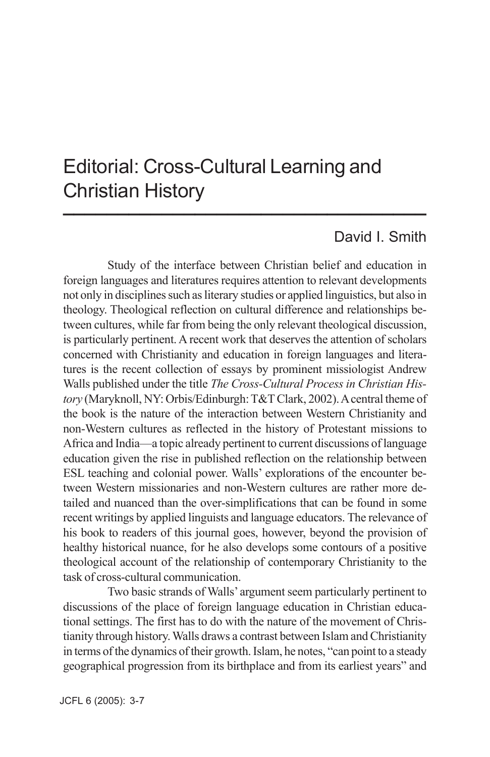# Editorial: Cross-Cultural Learning and Christian History  $\frac{1}{2}$

### David I. Smith

Study of the interface between Christian belief and education in foreign languages and literatures requires attention to relevant developments not only in disciplines such as literary studies or applied linguistics, but also in theology. Theological reflection on cultural difference and relationships between cultures, while far from being the only relevant theological discussion, is particularly pertinent. A recent work that deserves the attention of scholars concerned with Christianity and education in foreign languages and literatures is the recent collection of essays by prominent missiologist Andrew Walls published under the title *The Cross-Cultural Process in Christian History* (Maryknoll, NY: Orbis/Edinburgh: T&T Clark, 2002). A central theme of the book is the nature of the interaction between Western Christianity and non-Western cultures as reflected in the history of Protestant missions to Africa and India—a topic already pertinent to current discussions of language education given the rise in published reflection on the relationship between ESL teaching and colonial power. Walls' explorations of the encounter between Western missionaries and non-Western cultures are rather more detailed and nuanced than the over-simplifications that can be found in some recent writings by applied linguists and language educators. The relevance of his book to readers of this journal goes, however, beyond the provision of healthy historical nuance, for he also develops some contours of a positive theological account of the relationship of contemporary Christianity to the task of cross-cultural communication.

Two basic strands of Walls' argument seem particularly pertinent to discussions of the place of foreign language education in Christian educational settings. The first has to do with the nature of the movement of Christianity through history. Walls draws a contrast between Islam and Christianity in terms of the dynamics of their growth. Islam, he notes, "can point to a steady geographical progression from its birthplace and from its earliest years" and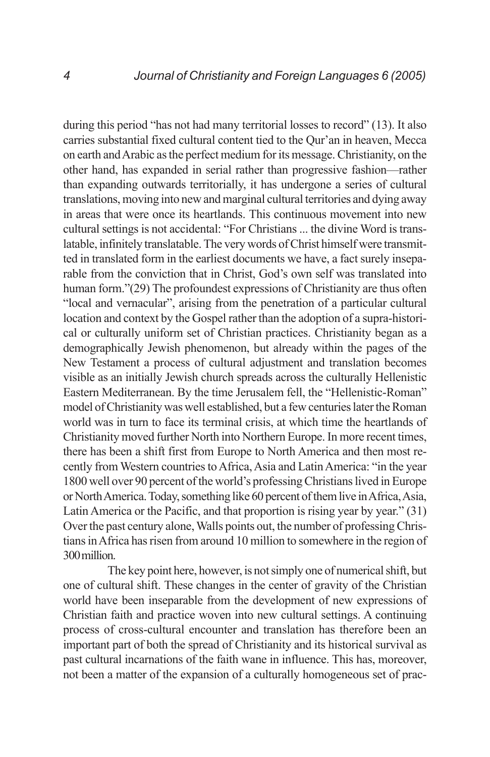during this period "has not had many territorial losses to record" (13). It also carries substantial fixed cultural content tied to the Qur'an in heaven, Mecca on earth and Arabic as the perfect medium for its message. Christianity, on the other hand, has expanded in serial rather than progressive fashion—rather than expanding outwards territorially, it has undergone a series of cultural translations, moving into new and marginal cultural territories and dying away in areas that were once its heartlands. This continuous movement into new cultural settings is not accidental: "For Christians ... the divine Word is translatable, infinitely translatable. The very words of Christ himself were transmitted in translated form in the earliest documents we have, a fact surely inseparable from the conviction that in Christ, God's own self was translated into human form."(29) The profoundest expressions of Christianity are thus often "local and vernacular", arising from the penetration of a particular cultural location and context by the Gospel rather than the adoption of a supra-historical or culturally uniform set of Christian practices. Christianity began as a demographically Jewish phenomenon, but already within the pages of the New Testament a process of cultural adjustment and translation becomes visible as an initially Jewish church spreads across the culturally Hellenistic Eastern Mediterranean. By the time Jerusalem fell, the "Hellenistic-Roman" model of Christianity was well established, but a few centuries later the Roman world was in turn to face its terminal crisis, at which time the heartlands of Christianity moved further North into Northern Europe. In more recent times, there has been a shift first from Europe to North America and then most recently from Western countries to Africa, Asia and Latin America: "in the year 1800 well over 90 percent of the world's professing Christians lived in Europe or North America. Today, something like 60 percent of them live in Africa, Asia, Latin America or the Pacific, and that proportion is rising year by year." (31) Over the past century alone, Walls points out, the number of professing Christians in Africa has risen from around 10 million to somewhere in the region of 300 million.

The key point here, however, is not simply one of numerical shift, but one of cultural shift. These changes in the center of gravity of the Christian world have been inseparable from the development of new expressions of Christian faith and practice woven into new cultural settings. A continuing process of cross-cultural encounter and translation has therefore been an important part of both the spread of Christianity and its historical survival as past cultural incarnations of the faith wane in influence. This has, moreover, not been a matter of the expansion of a culturally homogeneous set of prac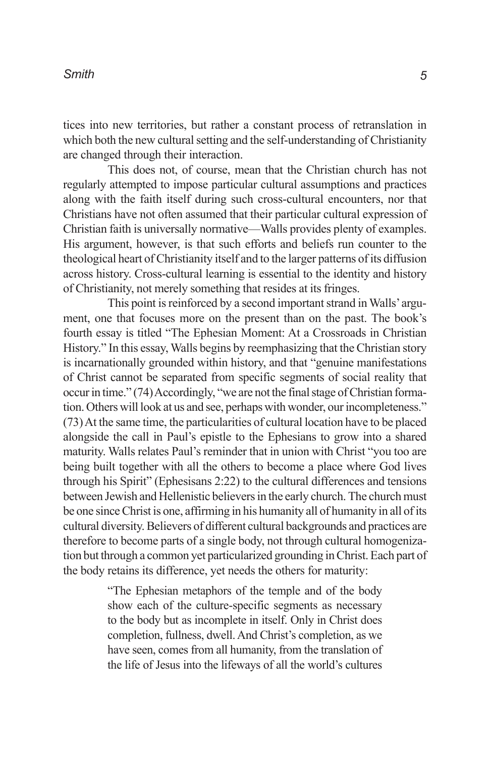tices into new territories, but rather a constant process of retranslation in which both the new cultural setting and the self-understanding of Christianity are changed through their interaction.

This does not, of course, mean that the Christian church has not regularly attempted to impose particular cultural assumptions and practices along with the faith itself during such cross-cultural encounters, nor that Christians have not often assumed that their particular cultural expression of Christian faith is universally normative—Walls provides plenty of examples. His argument, however, is that such efforts and beliefs run counter to the theological heart of Christianity itself and to the larger patterns of its diffusion across history. Cross-cultural learning is essential to the identity and history of Christianity, not merely something that resides at its fringes.

This point is reinforced by a second important strand in Walls' argument, one that focuses more on the present than on the past. The book's fourth essay is titled "The Ephesian Moment: At a Crossroads in Christian History." In this essay, Walls begins by reemphasizing that the Christian story is incarnationally grounded within history, and that "genuine manifestations of Christ cannot be separated from specific segments of social reality that occur in time." (74) Accordingly, "we are not the final stage of Christian formation. Others will look at us and see, perhaps with wonder, our incompleteness." (73) At the same time, the particularities of cultural location have to be placed alongside the call in Paul's epistle to the Ephesians to grow into a shared maturity. Walls relates Paul's reminder that in union with Christ "you too are being built together with all the others to become a place where God lives through his Spirit" (Ephesisans 2:22) to the cultural differences and tensions between Jewish and Hellenistic believers in the early church. The church must be one since Christ is one, affirming in his humanity all of humanity in all of its cultural diversity. Believers of different cultural backgrounds and practices are therefore to become parts of a single body, not through cultural homogenization but through a common yet particularized grounding in Christ. Each part of the body retains its difference, yet needs the others for maturity:

> "The Ephesian metaphors of the temple and of the body show each of the culture-specific segments as necessary to the body but as incomplete in itself. Only in Christ does completion, fullness, dwell. And Christ's completion, as we have seen, comes from all humanity, from the translation of the life of Jesus into the lifeways of all the world's cultures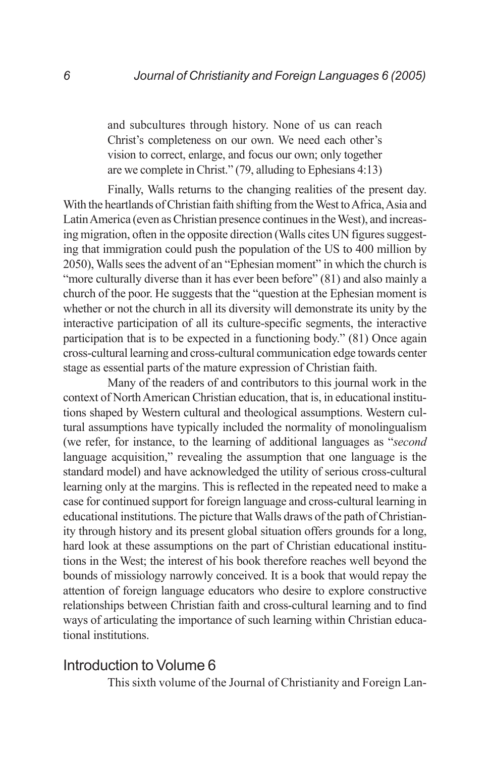and subcultures through history. None of us can reach Christ's completeness on our own. We need each other's vision to correct, enlarge, and focus our own; only together are we complete in Christ." (79, alluding to Ephesians 4:13)

Finally, Walls returns to the changing realities of the present day. With the heartlands of Christian faith shifting from the West to Africa, Asia and Latin America (even as Christian presence continues in the West), and increasing migration, often in the opposite direction (Walls cites UN figures suggesting that immigration could push the population of the US to 400 million by 2050), Walls sees the advent of an "Ephesian moment" in which the church is "more culturally diverse than it has ever been before" (81) and also mainly a church of the poor. He suggests that the "question at the Ephesian moment is whether or not the church in all its diversity will demonstrate its unity by the interactive participation of all its culture-specific segments, the interactive participation that is to be expected in a functioning body." (81) Once again cross-cultural learning and cross-cultural communication edge towards center stage as essential parts of the mature expression of Christian faith.

Many of the readers of and contributors to this journal work in the context of North American Christian education, that is, in educational institutions shaped by Western cultural and theological assumptions. Western cultural assumptions have typically included the normality of monolingualism (we refer, for instance, to the learning of additional languages as "*second* language acquisition," revealing the assumption that one language is the standard model) and have acknowledged the utility of serious cross-cultural learning only at the margins. This is reflected in the repeated need to make a case for continued support for foreign language and cross-cultural learning in educational institutions. The picture that Walls draws of the path of Christianity through history and its present global situation offers grounds for a long, hard look at these assumptions on the part of Christian educational institutions in the West; the interest of his book therefore reaches well beyond the bounds of missiology narrowly conceived. It is a book that would repay the attention of foreign language educators who desire to explore constructive relationships between Christian faith and cross-cultural learning and to find ways of articulating the importance of such learning within Christian educational institutions.

#### Introduction to Volume 6

This sixth volume of the Journal of Christianity and Foreign Lan-